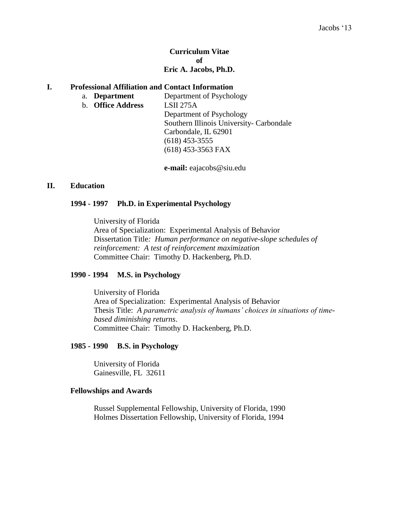#### **Curriculum Vitae of Eric A. Jacobs, Ph.D.**

#### **I. Professional Affiliation and Contact Information**

- a. **Department** Department of Psychology
- b. **Office Address** LSII 275A

Department of Psychology Southern Illinois University- Carbondale Carbondale, IL 62901 (618) 453-3555 (618) 453-3563 FAX

**e-mail:** eajacobs@siu.edu

#### **II. Education**

#### **1994 - 1997 Ph.D. in Experimental Psychology**

University of Florida Area of Specialization: Experimental Analysis of Behavior Dissertation Title*: Human performance on negative-slope schedules of reinforcement: A test of reinforcement maximization* Committee Chair: Timothy D. Hackenberg, Ph.D.

#### **1990 - 1994 M.S. in Psychology**

University of Florida Area of Specialization: Experimental Analysis of Behavior Thesis Title: *A parametric analysis of humans' choices in situations of timebased diminishing returns*. Committee Chair: Timothy D. Hackenberg, Ph.D.

#### **1985 - 1990 B.S. in Psychology**

University of Florida Gainesville, FL 32611

#### **Fellowships and Awards**

Russel Supplemental Fellowship, University of Florida, 1990 Holmes Dissertation Fellowship, University of Florida, 1994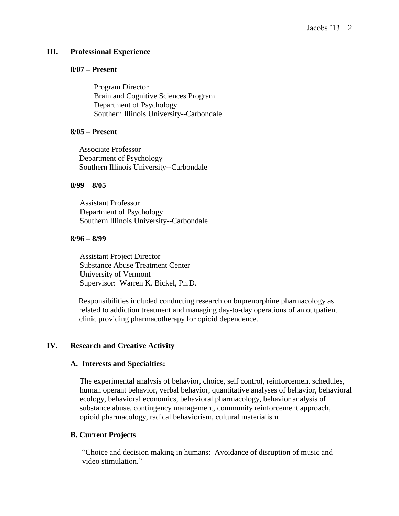### **III. Professional Experience**

### **8/07 – Present**

Program Director Brain and Cognitive Sciences Program Department of Psychology Southern Illinois University--Carbondale

### **8/05 – Present**

Associate Professor Department of Psychology Southern Illinois University--Carbondale

### **8/99 – 8/05**

Assistant Professor Department of Psychology Southern Illinois University--Carbondale

### **8/96 – 8/99**

Assistant Project Director Substance Abuse Treatment Center University of Vermont Supervisor: Warren K. Bickel, Ph.D.

Responsibilities included conducting research on buprenorphine pharmacology as related to addiction treatment and managing day-to-day operations of an outpatient clinic providing pharmacotherapy for opioid dependence.

## **IV. Research and Creative Activity**

## **A. Interests and Specialties:**

The experimental analysis of behavior, choice, self control, reinforcement schedules, human operant behavior, verbal behavior, quantitative analyses of behavior, behavioral ecology, behavioral economics, behavioral pharmacology, behavior analysis of substance abuse, contingency management, community reinforcement approach, opioid pharmacology, radical behaviorism, cultural materialism

## **B. Current Projects**

"Choice and decision making in humans: Avoidance of disruption of music and video stimulation."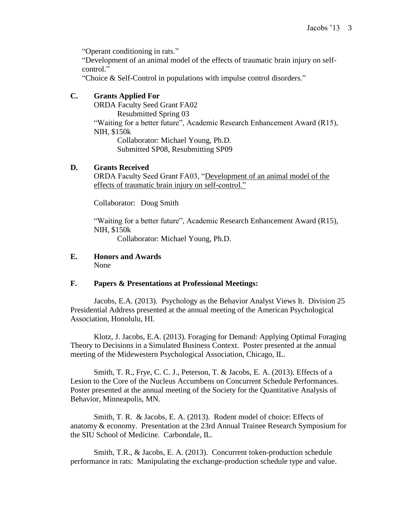"Operant conditioning in rats."

"Development of an animal model of the effects of traumatic brain injury on selfcontrol."

"Choice & Self-Control in populations with impulse control disorders."

## **C. Grants Applied For**

ORDA Faculty Seed Grant FA02 Resubmitted Spring 03 "Waiting for a better future", Academic Research Enhancement Award (R15), NIH, \$150k Collaborator: Michael Young, Ph.D.

Submitted SP08, Resubmitting SP09

## **D. Grants Received**

ORDA Faculty Seed Grant FA03, "Development of an animal model of the effects of traumatic brain injury on self-control."

Collaborator: Doug Smith

"Waiting for a better future", Academic Research Enhancement Award (R15), NIH, \$150k

Collaborator: Michael Young, Ph.D.

**E. Honors and Awards** None

### **F. Papers & Presentations at Professional Meetings:**

Jacobs, E.A. (2013). Psychology as the Behavior Analyst Views It. Division 25 Presidential Address presented at the annual meeting of the American Psychological Association, Honolulu, HI.

Klotz, J. Jacobs, E.A. (2013). Foraging for Demand: Applying Optimal Foraging Theory to Decisions in a Simulated Business Context. Poster presented at the annual meeting of the Midewestern Psychological Association, Chicago, IL.

Smith, T. R., Frye, C. C. J., Peterson, T. & Jacobs, E. A. (2013). Effects of a Lesion to the Core of the Nucleus Accumbens on Concurrent Schedule Performances. Poster presented at the annual meeting of the Society for the Quantitative Analysis of Behavior, Minneapolis, MN.

Smith, T. R. & Jacobs, E. A. (2013). Rodent model of choice: Effects of anatomy & economy. Presentation at the 23rd Annual Trainee Research Symposium for the SIU School of Medicine. Carbondale, IL.

Smith, T.R., & Jacobs, E. A. (2013). Concurrent token-production schedule performance in rats: Manipulating the exchange-production schedule type and value.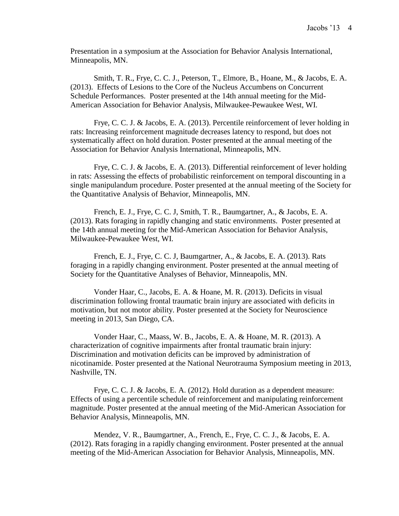Presentation in a symposium at the Association for Behavior Analysis International, Minneapolis, MN.

Smith, T. R., Frye, C. C. J., Peterson, T., Elmore, B., Hoane, M., & Jacobs, E. A. (2013). Effects of Lesions to the Core of the Nucleus Accumbens on Concurrent Schedule Performances. Poster presented at the 14th annual meeting for the Mid-American Association for Behavior Analysis, Milwaukee-Pewaukee West, WI.

Frye, C. C. J. & Jacobs, E. A. (2013). Percentile reinforcement of lever holding in rats: Increasing reinforcement magnitude decreases latency to respond, but does not systematically affect on hold duration. Poster presented at the annual meeting of the Association for Behavior Analysis International, Minneapolis, MN.

Frye, C. C. J. & Jacobs, E. A. (2013). Differential reinforcement of lever holding in rats: Assessing the effects of probabilistic reinforcement on temporal discounting in a single manipulandum procedure. Poster presented at the annual meeting of the Society for the Quantitative Analysis of Behavior, Minneapolis, MN.

French, E. J., Frye, C. C. J, Smith, T. R., Baumgartner, A., & Jacobs, E. A. (2013). Rats foraging in rapidly changing and static environments. Poster presented at the 14th annual meeting for the Mid-American Association for Behavior Analysis, Milwaukee-Pewaukee West, WI.

French, E. J., Frye, C. C. J, Baumgartner, A., & Jacobs, E. A. (2013). Rats foraging in a rapidly changing environment. Poster presented at the annual meeting of Society for the Quantitative Analyses of Behavior, Minneapolis, MN.

Vonder Haar, C., Jacobs, E. A. & Hoane, M. R. (2013). Deficits in visual discrimination following frontal traumatic brain injury are associated with deficits in motivation, but not motor ability. Poster presented at the Society for Neuroscience meeting in 2013, San Diego, CA.

Vonder Haar, C., Maass, W. B., Jacobs, E. A. & Hoane, M. R. (2013). A characterization of cognitive impairments after frontal traumatic brain injury: Discrimination and motivation deficits can be improved by administration of nicotinamide. Poster presented at the National Neurotrauma Symposium meeting in 2013, Nashville, TN.

Frye, C. C. J. & Jacobs, E. A. (2012). Hold duration as a dependent measure: Effects of using a percentile schedule of reinforcement and manipulating reinforcement magnitude. Poster presented at the annual meeting of the Mid-American Association for Behavior Analysis, Minneapolis, MN.

Mendez, V. R., Baumgartner, A., French, E., Frye, C. C. J., & Jacobs, E. A. (2012). Rats foraging in a rapidly changing environment. Poster presented at the annual meeting of the Mid-American Association for Behavior Analysis, Minneapolis, MN.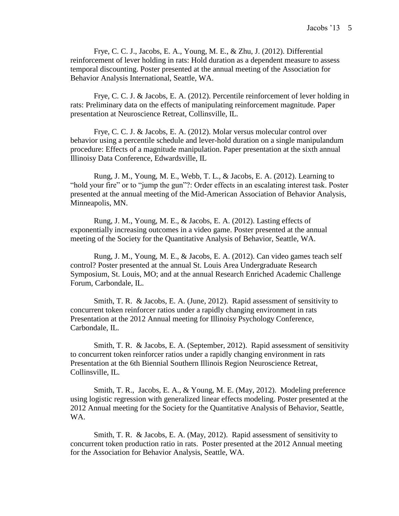Frye, C. C. J., Jacobs, E. A., Young, M. E., & Zhu, J. (2012). Differential reinforcement of lever holding in rats: Hold duration as a dependent measure to assess temporal discounting. Poster presented at the annual meeting of the Association for Behavior Analysis International, Seattle, WA.

Frye, C. C. J. & Jacobs, E. A. (2012). Percentile reinforcement of lever holding in rats: Preliminary data on the effects of manipulating reinforcement magnitude. Paper presentation at Neuroscience Retreat, Collinsville, IL.

Frye, C. C. J. & Jacobs, E. A. (2012). Molar versus molecular control over behavior using a percentile schedule and lever-hold duration on a single manipulandum procedure: Effects of a magnitude manipulation. Paper presentation at the sixth annual Illinoisy Data Conference, Edwardsville, IL

Rung, J. M., Young, M. E., Webb, T. L., & Jacobs, E. A. (2012). Learning to "hold your fire" or to "jump the gun"?: Order effects in an escalating interest task. Poster presented at the annual meeting of the Mid-American Association of Behavior Analysis, Minneapolis, MN.

Rung, J. M., Young, M. E., & Jacobs, E. A. (2012). Lasting effects of exponentially increasing outcomes in a video game. Poster presented at the annual meeting of the Society for the Quantitative Analysis of Behavior, Seattle, WA.

Rung, J. M., Young, M. E., & Jacobs, E. A. (2012). Can video games teach self control? Poster presented at the annual St. Louis Area Undergraduate Research Symposium, St. Louis, MO; and at the annual Research Enriched Academic Challenge Forum, Carbondale, IL.

Smith, T. R. & Jacobs, E. A. (June, 2012). Rapid assessment of sensitivity to concurrent token reinforcer ratios under a rapidly changing environment in rats Presentation at the 2012 Annual meeting for Illinoisy Psychology Conference, Carbondale, IL.

Smith, T. R. & Jacobs, E. A. (September, 2012). Rapid assessment of sensitivity to concurrent token reinforcer ratios under a rapidly changing environment in rats Presentation at the 6th Biennial Southern Illinois Region Neuroscience Retreat, Collinsville, IL.

Smith, T. R., Jacobs, E. A., & Young, M. E. (May, 2012). Modeling preference using logistic regression with generalized linear effects modeling. Poster presented at the 2012 Annual meeting for the Society for the Quantitative Analysis of Behavior, Seattle, WA.

Smith, T. R. & Jacobs, E. A. (May, 2012). Rapid assessment of sensitivity to concurrent token production ratio in rats. Poster presented at the 2012 Annual meeting for the Association for Behavior Analysis, Seattle, WA.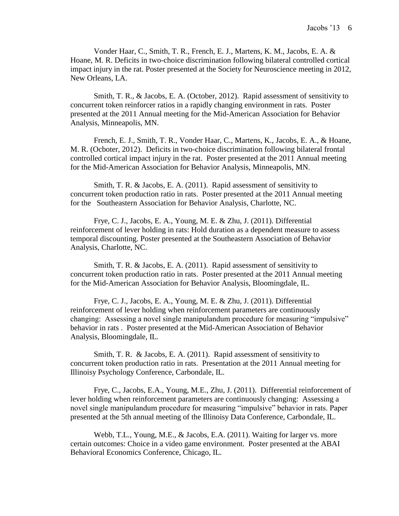Vonder Haar, C., Smith, T. R., French, E. J., Martens, K. M., Jacobs, E. A. & Hoane, M. R. Deficits in two-choice discrimination following bilateral controlled cortical impact injury in the rat. Poster presented at the Society for Neuroscience meeting in 2012, New Orleans, LA.

Smith, T. R., & Jacobs, E. A. (October, 2012). Rapid assessment of sensitivity to concurrent token reinforcer ratios in a rapidly changing environment in rats. Poster presented at the 2011 Annual meeting for the Mid-American Association for Behavior Analysis, Minneapolis, MN.

French, E. J., Smith, T. R., Vonder Haar, C., Martens, K., Jacobs, E. A., & Hoane, M. R. (Ocboter, 2012). Deficits in two-choice discrimination following bilateral frontal controlled cortical impact injury in the rat. Poster presented at the 2011 Annual meeting for the Mid-American Association for Behavior Analysis, Minneapolis, MN.

Smith, T. R. & Jacobs, E. A. (2011). Rapid assessment of sensitivity to concurrent token production ratio in rats. Poster presented at the 2011 Annual meeting for the Southeastern Association for Behavior Analysis, Charlotte, NC.

Frye, C. J., Jacobs, E. A., Young, M. E. & Zhu, J. (2011). Differential reinforcement of lever holding in rats: Hold duration as a dependent measure to assess temporal discounting. Poster presented at the Southeastern Association of Behavior Analysis, Charlotte, NC.

Smith, T. R. & Jacobs, E. A. (2011). Rapid assessment of sensitivity to concurrent token production ratio in rats. Poster presented at the 2011 Annual meeting for the Mid-American Association for Behavior Analysis, Bloomingdale, IL.

Frye, C. J., Jacobs, E. A., Young, M. E. & Zhu, J. (2011). Differential reinforcement of lever holding when reinforcement parameters are continuously changing: Assessing a novel single manipulandum procedure for measuring "impulsive" behavior in rats . Poster presented at the Mid-American Association of Behavior Analysis, Bloomingdale, IL.

Smith, T. R. & Jacobs, E. A. (2011). Rapid assessment of sensitivity to concurrent token production ratio in rats. Presentation at the 2011 Annual meeting for Illinoisy Psychology Conference, Carbondale, IL.

Frye, C., Jacobs, E.A., Young, M.E., Zhu, J. (2011). Differential reinforcement of lever holding when reinforcement parameters are continuously changing: Assessing a novel single manipulandum procedure for measuring "impulsive" behavior in rats. Paper presented at the 5th annual meeting of the Illinoisy Data Conference, Carbondale, IL.

Webb, T.L., Young, M.E., & Jacobs, E.A. (2011). Waiting for larger vs. more certain outcomes: Choice in a video game environment. Poster presented at the ABAI Behavioral Economics Conference, Chicago, IL.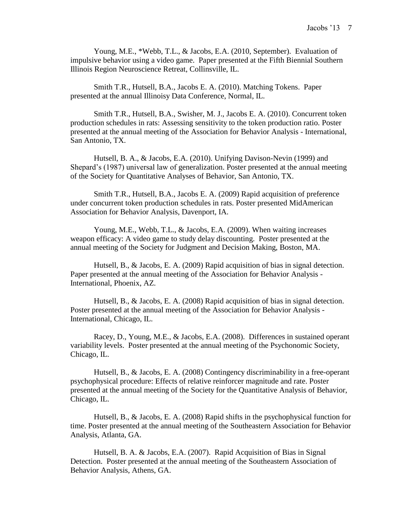Young, M.E., \*Webb, T.L., & Jacobs, E.A. (2010, September). Evaluation of impulsive behavior using a video game. Paper presented at the Fifth Biennial Southern Illinois Region Neuroscience Retreat, Collinsville, IL.

Smith T.R., Hutsell, B.A., Jacobs E. A. (2010). Matching Tokens. Paper presented at the annual Illinoisy Data Conference, Normal, IL.

Smith T.R., Hutsell, B.A., Swisher, M. J., Jacobs E. A. (2010). Concurrent token production schedules in rats: Assessing sensitivity to the token production ratio. Poster presented at the annual meeting of the Association for Behavior Analysis - International, San Antonio, TX.

Hutsell, B. A., & Jacobs, E.A. (2010). Unifying Davison-Nevin (1999) and Shepard's (1987) universal law of generalization. Poster presented at the annual meeting of the Society for Quantitative Analyses of Behavior, San Antonio, TX.

Smith T.R., Hutsell, B.A., Jacobs E. A. (2009) Rapid acquisition of preference under concurrent token production schedules in rats. Poster presented MidAmerican Association for Behavior Analysis, Davenport, IA.

Young, M.E., Webb, T.L., & Jacobs, E.A. (2009). When waiting increases weapon efficacy: A video game to study delay discounting. Poster presented at the annual meeting of the Society for Judgment and Decision Making, Boston, MA.

Hutsell, B., & Jacobs, E. A. (2009) Rapid acquisition of bias in signal detection. Paper presented at the annual meeting of the Association for Behavior Analysis - International, Phoenix, AZ.

Hutsell, B., & Jacobs, E. A. (2008) Rapid acquisition of bias in signal detection. Poster presented at the annual meeting of the Association for Behavior Analysis - International, Chicago, IL.

Racey, D., Young, M.E., & Jacobs, E.A. (2008). Differences in sustained operant variability levels. Poster presented at the annual meeting of the Psychonomic Society, Chicago, IL.

Hutsell, B., & Jacobs, E. A. (2008) Contingency discriminability in a free-operant psychophysical procedure: Effects of relative reinforcer magnitude and rate. Poster presented at the annual meeting of the Society for the Quantitative Analysis of Behavior, Chicago, IL.

Hutsell, B., & Jacobs, E. A. (2008) Rapid shifts in the psychophysical function for time. Poster presented at the annual meeting of the Southeastern Association for Behavior Analysis, Atlanta, GA.

Hutsell, B. A. & Jacobs, E.A. (2007). Rapid Acquisition of Bias in Signal Detection. Poster presented at the annual meeting of the Southeastern Association of Behavior Analysis, Athens, GA.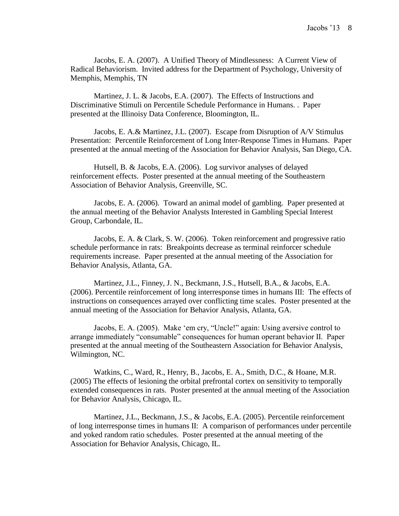Jacobs, E. A. (2007). A Unified Theory of Mindlessness: A Current View of Radical Behaviorism. Invited address for the Department of Psychology, University of Memphis, Memphis, TN

Martinez, J. L. & Jacobs, E.A. (2007). The Effects of Instructions and Discriminative Stimuli on Percentile Schedule Performance in Humans. . Paper presented at the Illinoisy Data Conference, Bloomington, IL.

Jacobs, E. A.& Martinez, J.L. (2007). Escape from Disruption of A/V Stimulus Presentation: Percentile Reinforcement of Long Inter-Response Times in Humans. Paper presented at the annual meeting of the Association for Behavior Analysis, San Diego, CA.

Hutsell, B. & Jacobs, E.A. (2006). Log survivor analyses of delayed reinforcement effects. Poster presented at the annual meeting of the Southeastern Association of Behavior Analysis, Greenville, SC.

Jacobs, E. A. (2006). Toward an animal model of gambling. Paper presented at the annual meeting of the Behavior Analysts Interested in Gambling Special Interest Group, Carbondale, IL.

Jacobs, E. A. & Clark, S. W. (2006). Token reinforcement and progressive ratio schedule performance in rats: Breakpoints decrease as terminal reinforcer schedule requirements increase. Paper presented at the annual meeting of the Association for Behavior Analysis, Atlanta, GA.

Martinez, J.L., Finney, J. N., Beckmann, J.S., Hutsell, B.A., & Jacobs, E.A. (2006). Percentile reinforcement of long interresponse times in humans III: The effects of instructions on consequences arrayed over conflicting time scales. Poster presented at the annual meeting of the Association for Behavior Analysis, Atlanta, GA.

Jacobs, E. A. (2005). Make 'em cry, "Uncle!" again: Using aversive control to arrange immediately "consumable" consequences for human operant behavior II. Paper presented at the annual meeting of the Southeastern Association for Behavior Analysis, Wilmington, NC.

Watkins, C., Ward, R., Henry, B., Jacobs, E. A., Smith, D.C., & Hoane, M.R. (2005) The effects of lesioning the orbital prefrontal cortex on sensitivity to temporally extended consequences in rats. Poster presented at the annual meeting of the Association for Behavior Analysis, Chicago, IL.

Martinez, J.L., Beckmann, J.S., & Jacobs, E.A. (2005). Percentile reinforcement of long interresponse times in humans II: A comparison of performances under percentile and yoked random ratio schedules. Poster presented at the annual meeting of the Association for Behavior Analysis, Chicago, IL.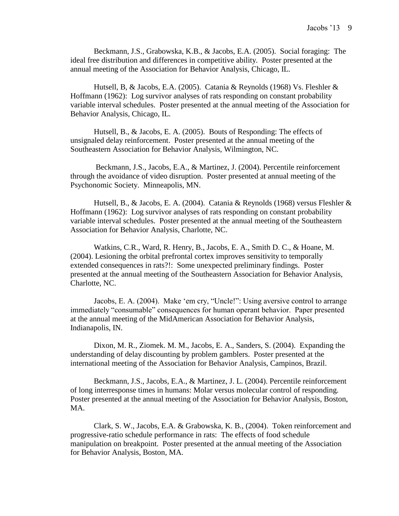Beckmann, J.S., Grabowska, K.B., & Jacobs, E.A. (2005). Social foraging: The ideal free distribution and differences in competitive ability. Poster presented at the annual meeting of the Association for Behavior Analysis, Chicago, IL.

Hutsell, B, & Jacobs, E.A. (2005). Catania & Reynolds (1968) Vs. Fleshler & Hoffmann (1962): Log survivor analyses of rats responding on constant probability variable interval schedules. Poster presented at the annual meeting of the Association for Behavior Analysis, Chicago, IL.

Hutsell, B., & Jacobs, E. A. (2005). Bouts of Responding: The effects of unsignaled delay reinforcement. Poster presented at the annual meeting of the Southeastern Association for Behavior Analysis, Wilmington, NC.

Beckmann, J.S., Jacobs, E.A., & Martinez, J. (2004). Percentile reinforcement through the avoidance of video disruption. Poster presented at annual meeting of the Psychonomic Society. Minneapolis, MN.

Hutsell, B., & Jacobs, E. A. (2004). Catania & Reynolds (1968) versus Fleshler & Hoffmann (1962): Log survivor analyses of rats responding on constant probability variable interval schedules. Poster presented at the annual meeting of the Southeastern Association for Behavior Analysis, Charlotte, NC.

Watkins, C.R., Ward, R. Henry, B., Jacobs, E. A., Smith D. C., & Hoane, M. (2004). Lesioning the orbital prefrontal cortex improves sensitivity to temporally extended consequences in rats?!: Some unexpected preliminary findings. Poster presented at the annual meeting of the Southeastern Association for Behavior Analysis, Charlotte, NC.

Jacobs, E. A. (2004). Make 'em cry, "Uncle!": Using aversive control to arrange immediately "consumable" consequences for human operant behavior. Paper presented at the annual meeting of the MidAmerican Association for Behavior Analysis, Indianapolis, IN.

Dixon, M. R., Ziomek. M. M., Jacobs, E. A., Sanders, S. (2004). Expanding the understanding of delay discounting by problem gamblers. Poster presented at the international meeting of the Association for Behavior Analysis, Campinos, Brazil.

Beckmann, J.S., Jacobs, E.A., & Martinez, J. L. (2004). Percentile reinforcement of long interresponse times in humans: Molar versus molecular control of responding. Poster presented at the annual meeting of the Association for Behavior Analysis, Boston, MA.

Clark, S. W., Jacobs, E.A. & Grabowska, K. B., (2004). Token reinforcement and progressive-ratio schedule performance in rats: The effects of food schedule manipulation on breakpoint. Poster presented at the annual meeting of the Association for Behavior Analysis, Boston, MA.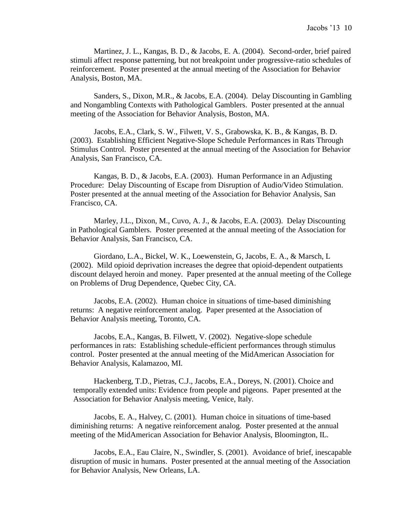Martinez, J. L., Kangas, B. D., & Jacobs, E. A. (2004). Second-order, brief paired stimuli affect response patterning, but not breakpoint under progressive-ratio schedules of reinforcement. Poster presented at the annual meeting of the Association for Behavior Analysis, Boston, MA.

Sanders, S., Dixon, M.R., & Jacobs, E.A. (2004). Delay Discounting in Gambling and Nongambling Contexts with Pathological Gamblers. Poster presented at the annual meeting of the Association for Behavior Analysis, Boston, MA.

Jacobs, E.A., Clark, S. W., Filwett, V. S., Grabowska, K. B., & Kangas, B. D. (2003). Establishing Efficient Negative-Slope Schedule Performances in Rats Through Stimulus Control. Poster presented at the annual meeting of the Association for Behavior Analysis, San Francisco, CA.

Kangas, B. D., & Jacobs, E.A. (2003). Human Performance in an Adjusting Procedure: Delay Discounting of Escape from Disruption of Audio/Video Stimulation. Poster presented at the annual meeting of the Association for Behavior Analysis, San Francisco, CA.

Marley, J.L., Dixon, M., Cuvo, A. J., & Jacobs, E.A. (2003). Delay Discounting in Pathological Gamblers. Poster presented at the annual meeting of the Association for Behavior Analysis, San Francisco, CA.

Giordano, L.A., Bickel, W. K., Loewenstein, G, Jacobs, E. A., & Marsch, L (2002). Mild opioid deprivation increases the degree that opioid-dependent outpatients discount delayed heroin and money. Paper presented at the annual meeting of the College on Problems of Drug Dependence, Quebec City, CA.

Jacobs, E.A. (2002). Human choice in situations of time-based diminishing returns: A negative reinforcement analog. Paper presented at the Association of Behavior Analysis meeting, Toronto, CA.

Jacobs, E.A., Kangas, B. Filwett, V. (2002). Negative-slope schedule performances in rats: Establishing schedule-efficient performances through stimulus control. Poster presented at the annual meeting of the MidAmerican Association for Behavior Analysis, Kalamazoo, MI.

Hackenberg, T.D., Pietras, C.J., Jacobs, E.A., Doreys, N. (2001). Choice and temporally extended units: Evidence from people and pigeons. Paper presented at the Association for Behavior Analysis meeting, Venice, Italy.

Jacobs, E. A., Halvey, C. (2001). Human choice in situations of time-based diminishing returns: A negative reinforcement analog. Poster presented at the annual meeting of the MidAmerican Association for Behavior Analysis, Bloomington, IL.

Jacobs, E.A., Eau Claire, N., Swindler, S. (2001). Avoidance of brief, inescapable disruption of music in humans. Poster presented at the annual meeting of the Association for Behavior Analysis, New Orleans, LA.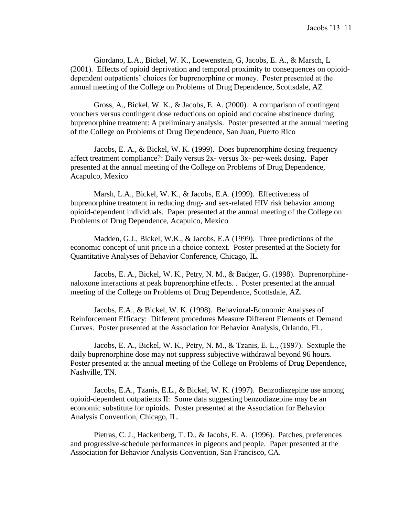Giordano, L.A., Bickel, W. K., Loewenstein, G, Jacobs, E. A., & Marsch, L (2001). Effects of opioid deprivation and temporal proximity to consequences on opioiddependent outpatients' choices for buprenorphine or money. Poster presented at the annual meeting of the College on Problems of Drug Dependence, Scottsdale, AZ

Gross, A., Bickel, W. K., & Jacobs, E. A. (2000). A comparison of contingent vouchers versus contingent dose reductions on opioid and cocaine abstinence during buprenorphine treatment: A preliminary analysis. Poster presented at the annual meeting of the College on Problems of Drug Dependence, San Juan, Puerto Rico

Jacobs, E. A., & Bickel, W. K. (1999). Does buprenorphine dosing frequency affect treatment compliance?: Daily versus 2x- versus 3x- per-week dosing. Paper presented at the annual meeting of the College on Problems of Drug Dependence, Acapulco, Mexico

Marsh, L.A., Bickel, W. K., & Jacobs, E.A. (1999). Effectiveness of buprenorphine treatment in reducing drug- and sex-related HIV risk behavior among opioid-dependent individuals. Paper presented at the annual meeting of the College on Problems of Drug Dependence, Acapulco, Mexico

Madden, G.J., Bickel, W.K., & Jacobs, E.A (1999). Three predictions of the economic concept of unit price in a choice context. Poster presented at the Society for Quantitative Analyses of Behavior Conference, Chicago, IL.

Jacobs, E. A., Bickel, W. K., Petry, N. M., & Badger, G. (1998). Buprenorphinenaloxone interactions at peak buprenorphine effects. . Poster presented at the annual meeting of the College on Problems of Drug Dependence, Scottsdale, AZ.

Jacobs, E.A., & Bickel, W. K. (1998). Behavioral-Economic Analyses of Reinforcement Efficacy: Different procedures Measure Different Elements of Demand Curves. Poster presented at the Association for Behavior Analysis, Orlando, FL.

Jacobs, E. A., Bickel, W. K., Petry, N. M., & Tzanis, E. L., (1997). Sextuple the daily buprenorphine dose may not suppress subjective withdrawal beyond 96 hours. Poster presented at the annual meeting of the College on Problems of Drug Dependence, Nashville, TN.

Jacobs, E.A., Tzanis, E.L., & Bickel, W. K. (1997). Benzodiazepine use among opioid-dependent outpatients II: Some data suggesting benzodiazepine may be an economic substitute for opioids. Poster presented at the Association for Behavior Analysis Convention, Chicago, IL.

Pietras, C. J., Hackenberg, T. D., & Jacobs, E. A. (1996). Patches, preferences and progressive-schedule performances in pigeons and people. Paper presented at the Association for Behavior Analysis Convention, San Francisco, CA.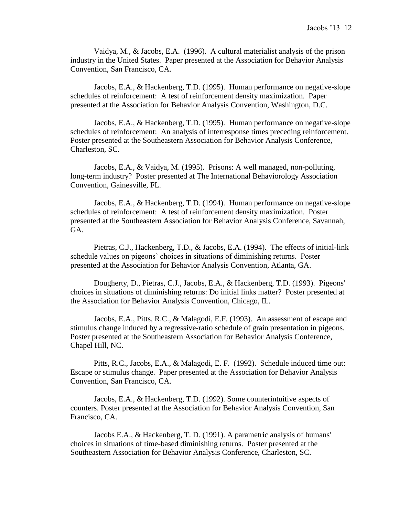Vaidya, M., & Jacobs, E.A. (1996). A cultural materialist analysis of the prison industry in the United States. Paper presented at the Association for Behavior Analysis Convention, San Francisco, CA.

Jacobs, E.A., & Hackenberg, T.D. (1995). Human performance on negative-slope schedules of reinforcement: A test of reinforcement density maximization. Paper presented at the Association for Behavior Analysis Convention, Washington, D.C.

Jacobs, E.A., & Hackenberg, T.D. (1995). Human performance on negative-slope schedules of reinforcement: An analysis of interresponse times preceding reinforcement. Poster presented at the Southeastern Association for Behavior Analysis Conference, Charleston, SC.

Jacobs, E.A., & Vaidya, M. (1995). Prisons: A well managed, non-polluting, long-term industry? Poster presented at The International Behaviorology Association Convention, Gainesville, FL.

Jacobs, E.A., & Hackenberg, T.D. (1994). Human performance on negative-slope schedules of reinforcement: A test of reinforcement density maximization. Poster presented at the Southeastern Association for Behavior Analysis Conference, Savannah, GA.

Pietras, C.J., Hackenberg, T.D., & Jacobs, E.A. (1994). The effects of initial-link schedule values on pigeons' choices in situations of diminishing returns. Poster presented at the Association for Behavior Analysis Convention, Atlanta, GA.

Dougherty, D., Pietras, C.J., Jacobs, E.A., & Hackenberg, T.D. (1993). Pigeons' choices in situations of diminishing returns: Do initial links matter? Poster presented at the Association for Behavior Analysis Convention, Chicago, IL.

Jacobs, E.A., Pitts, R.C., & Malagodi, E.F. (1993). An assessment of escape and stimulus change induced by a regressive-ratio schedule of grain presentation in pigeons. Poster presented at the Southeastern Association for Behavior Analysis Conference, Chapel Hill, NC.

Pitts, R.C., Jacobs, E.A., & Malagodi, E. F. (1992). Schedule induced time out: Escape or stimulus change. Paper presented at the Association for Behavior Analysis Convention, San Francisco, CA.

Jacobs, E.A., & Hackenberg, T.D. (1992). Some counterintuitive aspects of counters. Poster presented at the Association for Behavior Analysis Convention, San Francisco, CA.

Jacobs E.A., & Hackenberg, T. D. (1991). A parametric analysis of humans' choices in situations of time-based diminishing returns. Poster presented at the Southeastern Association for Behavior Analysis Conference, Charleston, SC.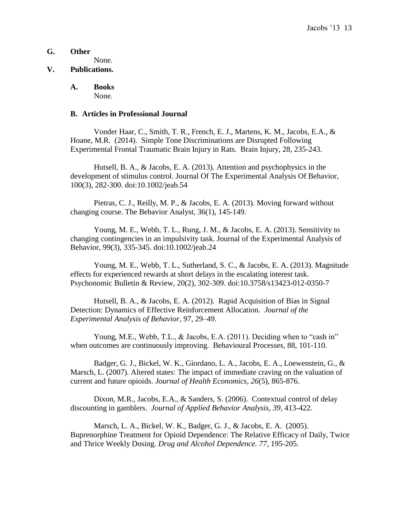### **G. Other**

None.

### **V. Publications.**

**A. Books** None.

#### **B. Articles in Professional Journal**

Vonder Haar, C., Smith, T. R., French, E. J., Martens, K. M., Jacobs, E.A., & Hoane, M.R. (2014). Simple Tone Discriminations are Disrupted Following Experimental Frontal Traumatic Brain Injury in Rats. Brain Injury, 28, 235-243.

Hutsell, B. A., & Jacobs, E. A. (2013). Attention and psychophysics in the development of stimulus control. Journal Of The Experimental Analysis Of Behavior, 100(3), 282-300. doi:10.1002/jeab.54

Pietras, C. J., Reilly, M. P., & Jacobs, E. A. (2013). Moving forward without changing course. The Behavior Analyst, 36(1), 145-149.

Young, M. E., Webb, T. L., Rung, J. M., & Jacobs, E. A. (2013). Sensitivity to changing contingencies in an impulsivity task. Journal of the Experimental Analysis of Behavior, 99(3), 335-345. doi:10.1002/jeab.24

Young, M. E., Webb, T. L., Sutherland, S. C., & Jacobs, E. A. (2013). Magnitude effects for experienced rewards at short delays in the escalating interest task. Psychonomic Bulletin & Review, 20(2), 302-309. doi:10.3758/s13423-012-0350-7

Hutsell, B. A., & Jacobs, E. A. (2012). Rapid Acquisition of Bias in Signal Detection: Dynamics of Effective Reinforcement Allocation. *Journal of the Experimental Analysis of Behavior*, 97, 29–49.

Young, M.E., Webb, T.L., & Jacobs, E.A. (2011). Deciding when to "cash in" when outcomes are continuously improving. Behavioural Processes, 88, 101-110.

Badger, G. J., Bickel, W. K., Giordano, L. A., Jacobs, E. A., Loewenstein, G., & Marsch, L. (2007). Altered states: The impact of immediate craving on the valuation of current and future opioids. *Journal of Health Economics, 26*(5), 865-876.

Dixon, M.R., Jacobs, E.A., & Sanders, S. (2006). Contextual control of delay discounting in gamblers. *Journal of Applied Behavior Analysis, 39,* 413-422.

Marsch, L. A., Bickel, W. K., Badger, G. J., & Jacobs, E. A. (2005). Buprenorphine Treatment for Opioid Dependence: The Relative Efficacy of Daily, Twice and Thrice Weekly Dosing. *Drug and Alcohol Dependence. 77,* 195-205.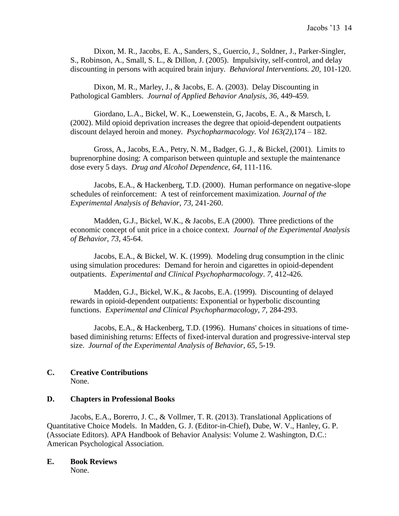Dixon, M. R., Jacobs, E. A., Sanders, S., Guercio, J., Soldner, J., Parker-Singler, S., Robinson, A., Small, S. L., & Dillon, J. (2005). Impulsivity, self-control, and delay discounting in persons with acquired brain injury. *Behavioral Interventions. 20,* 101-120.

Dixon, M. R., Marley, J., & Jacobs, E. A. (2003). Delay Discounting in Pathological Gamblers. *Journal of Applied Behavior Analysis, 36,* 449-459.

Giordano, L.A., Bickel, W. K., Loewenstein, G, Jacobs, E. A., & Marsch, L (2002). Mild opioid deprivation increases the degree that opioid-dependent outpatients discount delayed heroin and money. *Psychopharmacology. Vol 163(2),*174 – 182.

Gross, A., Jacobs, E.A., Petry, N. M., Badger, G. J., & Bickel, (2001). Limits to buprenorphine dosing: A comparison between quintuple and sextuple the maintenance dose every 5 days. *Drug and Alcohol Dependence, 64,* 111-116.

Jacobs, E.A., & Hackenberg, T.D. (2000). Human performance on negative-slope schedules of reinforcement: A test of reinforcement maximization. *Journal of the Experimental Analysis of Behavior, 73,* 241-260.

Madden, G.J., Bickel, W.K., & Jacobs, E.A (2000). Three predictions of the economic concept of unit price in a choice context. *Journal of the Experimental Analysis of Behavior*, *73*, 45-64.

Jacobs, E.A., & Bickel, W. K. (1999). Modeling drug consumption in the clinic using simulation procedures: Demand for heroin and cigarettes in opioid-dependent outpatients. *Experimental and Clinical Psychopharmacology*. *7*, 412-426.

Madden, G.J., Bickel, W.K., & Jacobs, E.A. (1999). Discounting of delayed rewards in opioid-dependent outpatients: Exponential or hyperbolic discounting functions. *Experimental and Clinical Psychopharmacology, 7,* 284-293.

Jacobs, E.A., & Hackenberg, T.D. (1996). Humans' choices in situations of timebased diminishing returns: Effects of fixed-interval duration and progressive-interval step size. *Journal of the Experimental Analysis of Behavior*, *65*, 5-19.

#### **C. Creative Contributions** None.

### **D. Chapters in Professional Books**

Jacobs, E.A., Borerro, J. C., & Vollmer, T. R. (2013). Translational Applications of Quantitative Choice Models. In Madden, G. J. (Editor-in-Chief), Dube, W. V., Hanley, G. P. (Associate Editors). APA Handbook of Behavior Analysis: Volume 2. Washington, D.C.: American Psychological Association.

**E. Book Reviews** None.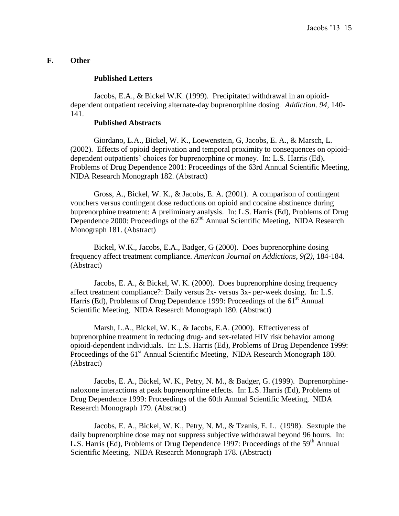#### **F. Other**

#### **Published Letters**

Jacobs, E.A., & Bickel W.K. (1999). Precipitated withdrawal in an opioiddependent outpatient receiving alternate-day buprenorphine dosing. *Addiction*. *94*, 140- 141.

### **Published Abstracts**

Giordano, L.A., Bickel, W. K., Loewenstein, G, Jacobs, E. A., & Marsch, L. (2002). Effects of opioid deprivation and temporal proximity to consequences on opioiddependent outpatients' choices for buprenorphine or money. In: L.S. Harris (Ed), Problems of Drug Dependence 2001: Proceedings of the 63rd Annual Scientific Meeting, NIDA Research Monograph 182. (Abstract)

Gross, A., Bickel, W. K., & Jacobs, E. A. (2001). A comparison of contingent vouchers versus contingent dose reductions on opioid and cocaine abstinence during buprenorphine treatment: A preliminary analysis. In: L.S. Harris (Ed), Problems of Drug Dependence 2000: Proceedings of the  $62<sup>nd</sup>$  Annual Scientific Meeting, NIDA Research Monograph 181. (Abstract)

Bickel, W.K., Jacobs, E.A., Badger, G (2000). Does buprenorphine dosing frequency affect treatment compliance. *American Journal on Addictions*, *9(2)*, 184-184. (Abstract)

Jacobs, E. A., & Bickel, W. K. (2000). Does buprenorphine dosing frequency affect treatment compliance?: Daily versus 2x- versus 3x- per-week dosing. In: L.S. Harris (Ed), Problems of Drug Dependence 1999: Proceedings of the  $61<sup>st</sup>$  Annual Scientific Meeting, NIDA Research Monograph 180. (Abstract)

Marsh, L.A., Bickel, W. K., & Jacobs, E.A. (2000). Effectiveness of buprenorphine treatment in reducing drug- and sex-related HIV risk behavior among opioid-dependent individuals. In: L.S. Harris (Ed), Problems of Drug Dependence 1999: Proceedings of the 61<sup>st</sup> Annual Scientific Meeting, NIDA Research Monograph 180. (Abstract)

Jacobs, E. A., Bickel, W. K., Petry, N. M., & Badger, G. (1999). Buprenorphinenaloxone interactions at peak buprenorphine effects. In: L.S. Harris (Ed), Problems of Drug Dependence 1999: Proceedings of the 60th Annual Scientific Meeting, NIDA Research Monograph 179. (Abstract)

Jacobs, E. A., Bickel, W. K., Petry, N. M., & Tzanis, E. L. (1998). Sextuple the daily buprenorphine dose may not suppress subjective withdrawal beyond 96 hours. In: L.S. Harris (Ed), Problems of Drug Dependence 1997: Proceedings of the 59<sup>th</sup> Annual Scientific Meeting, NIDA Research Monograph 178. (Abstract)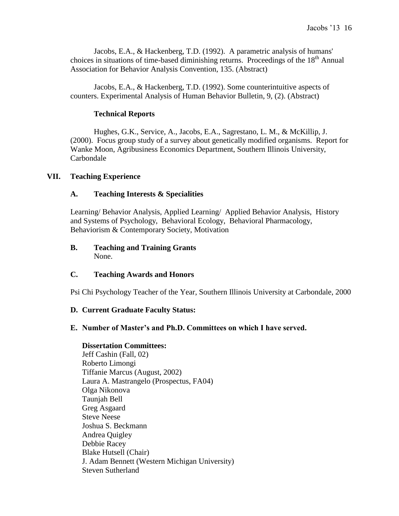Jacobs, E.A., & Hackenberg, T.D. (1992). A parametric analysis of humans' choices in situations of time-based diminishing returns. Proceedings of the  $18<sup>th</sup>$  Annual Association for Behavior Analysis Convention, 135. (Abstract)

Jacobs, E.A., & Hackenberg, T.D. (1992). Some counterintuitive aspects of counters. Experimental Analysis of Human Behavior Bulletin, 9, (2). (Abstract)

### **Technical Reports**

Hughes, G.K., Service, A., Jacobs, E.A., Sagrestano, L. M., & McKillip, J. (2000). Focus group study of a survey about genetically modified organisms. Report for Wanke Moon, Agribusiness Economics Department, Southern Illinois University, Carbondale

### **VII. Teaching Experience**

### **A. Teaching Interests & Specialities**

Learning/ Behavior Analysis, Applied Learning/ Applied Behavior Analysis, History and Systems of Psychology, Behavioral Ecology, Behavioral Pharmacology, Behaviorism & Contemporary Society, Motivation

**B. Teaching and Training Grants** None.

### **C. Teaching Awards and Honors**

Psi Chi Psychology Teacher of the Year, Southern Illinois University at Carbondale, 2000

### **D. Current Graduate Faculty Status:**

### **E. Number of Master's and Ph.D. Committees on which I have served.**

### **Dissertation Committees:**

Jeff Cashin (Fall, 02) Roberto Limongi Tiffanie Marcus (August, 2002) Laura A. Mastrangelo (Prospectus, FA04) Olga Nikonova Taunjah Bell Greg Asgaard Steve Neese Joshua S. Beckmann Andrea Quigley Debbie Racey Blake Hutsell (Chair) J. Adam Bennett (Western Michigan University) Steven Sutherland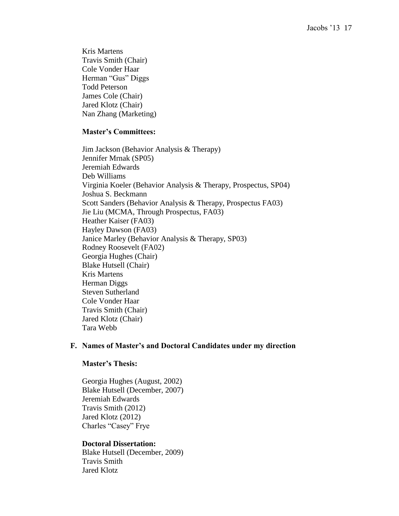Kris Martens Travis Smith (Chair) Cole Vonder Haar Herman "Gus" Diggs Todd Peterson James Cole (Chair) Jared Klotz (Chair) Nan Zhang (Marketing)

### **Master's Committees:**

Jim Jackson (Behavior Analysis & Therapy) Jennifer Mrnak (SP05) Jeremiah Edwards Deb Williams Virginia Koeler (Behavior Analysis & Therapy, Prospectus, SP04) Joshua S. Beckmann Scott Sanders (Behavior Analysis & Therapy, Prospectus FA03) Jie Liu (MCMA, Through Prospectus, FA03) Heather Kaiser (FA03) Hayley Dawson (FA03) Janice Marley (Behavior Analysis & Therapy, SP03) Rodney Roosevelt (FA02) Georgia Hughes (Chair) Blake Hutsell (Chair) Kris Martens Herman Diggs Steven Sutherland Cole Vonder Haar Travis Smith (Chair) Jared Klotz (Chair) Tara Webb

### **F. Names of Master's and Doctoral Candidates under my direction**

#### **Master's Thesis:**

Georgia Hughes (August, 2002) Blake Hutsell (December, 2007) Jeremiah Edwards Travis Smith (2012) Jared Klotz (2012) Charles "Casey" Frye

### **Doctoral Dissertation:**

Blake Hutsell (December, 2009) Travis Smith Jared Klotz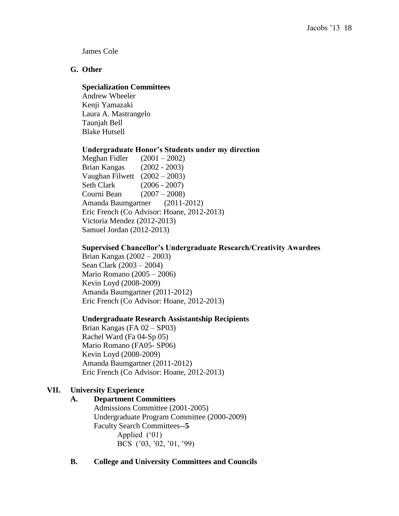James Cole

### **G. Other**

#### **Specialization Committees**

Andrew Wheeler Kenji Yamazaki Laura A. Mastrangelo Taunjah Bell Blake Hutsell

#### **Undergraduate Honor's Students under my direction**

Meghan Fidler  $(2001 - 2002)$ Brian Kangas (2002 - 2003) Vaughan Filwett (2002 – 2003) Seth Clark (2006 - 2007) Courni Bean (2007 – 2008) Amanda Baumgartner (2011-2012) Eric French (Co Advisor: Hoane, 2012-2013) Victoria Mendez (2012-2013) Samuel Jordan (2012-2013)

#### **Supervised Chancellor's Undergraduate Research/Creativity Awardees**

Brian Kangas (2002 – 2003) Sean Clark (2003 – 2004) Mario Romano (2005 – 2006) Kevin Loyd (2008-2009) Amanda Baumgartner (2011-2012) Eric French (Co Advisor: Hoane, 2012-2013)

#### **Undergraduate Research Assistantship Recipients**

Brian Kangas (FA 02 – SP03) Rachel Ward (Fa 04-Sp 05) Mario Romano (FA05- SP06) Kevin Loyd (2008-2009) Amanda Baumgartner (2011-2012) Eric French (Co Advisor: Hoane, 2012-2013)

#### **VII. University Experience**

#### **A. Department Committees**

Admissions Committee (2001-2005) Undergraduate Program Committee (2000-2009) Faculty Search Committees--**5** Applied ('01) BCS ('03, '02, '01, '99)

#### **B. College and University Committees and Councils**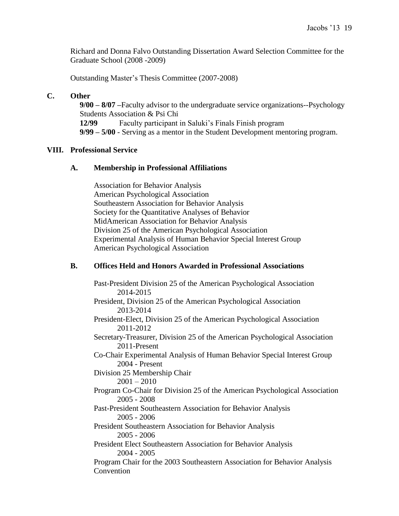Richard and Donna Falvo Outstanding Dissertation Award Selection Committee for the Graduate School (2008 -2009)

Outstanding Master's Thesis Committee (2007-2008)

### **C. Other**

**9/00 – 8/07 –**Faculty advisor to the undergraduate service organizations--Psychology Students Association & Psi Chi **12/99** Faculty participant in Saluki's Finals Finish program **9/99 – 5/00** - Serving as a mentor in the Student Development mentoring program.

### **VIII. Professional Service**

### **A. Membership in Professional Affiliations**

Association for Behavior Analysis American Psychological Association Southeastern Association for Behavior Analysis Society for the Quantitative Analyses of Behavior MidAmerican Association for Behavior Analysis Division 25 of the American Psychological Association Experimental Analysis of Human Behavior Special Interest Group American Psychological Association

## **B. Offices Held and Honors Awarded in Professional Associations**

Past-President Division 25 of the American Psychological Association 2014-2015 President, Division 25 of the American Psychological Association 2013-2014 President-Elect, Division 25 of the American Psychological Association 2011-2012 Secretary-Treasurer, Division 25 of the American Psychological Association 2011-Present Co-Chair Experimental Analysis of Human Behavior Special Interest Group 2004 - Present Division 25 Membership Chair  $2001 - 2010$ Program Co-Chair for Division 25 of the American Psychological Association 2005 - 2008 Past-President Southeastern Association for Behavior Analysis 2005 - 2006 President Southeastern Association for Behavior Analysis 2005 - 2006 President Elect Southeastern Association for Behavior Analysis 2004 - 2005 Program Chair for the 2003 Southeastern Association for Behavior Analysis **Convention**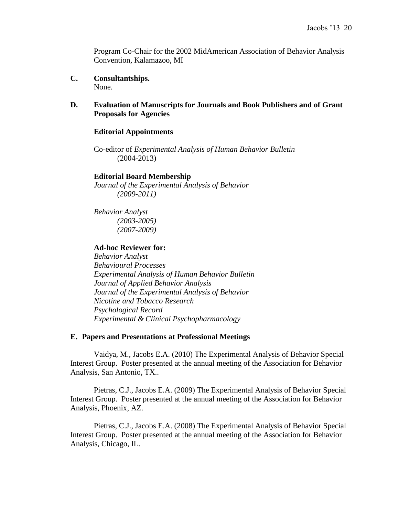Program Co-Chair for the 2002 MidAmerican Association of Behavior Analysis Convention, Kalamazoo, MI

- **C. Consultantships.** None.
- **D. Evaluation of Manuscripts for Journals and Book Publishers and of Grant Proposals for Agencies**

#### **Editorial Appointments**

Co-editor of *Experimental Analysis of Human Behavior Bulletin* (2004-2013)

#### **Editorial Board Membership**

*Journal of the Experimental Analysis of Behavior (2009-2011)*

*Behavior Analyst (2003-2005) (2007-2009)*

#### **Ad-hoc Reviewer for:**

*Behavior Analyst Behavioural Processes Experimental Analysis of Human Behavior Bulletin Journal of Applied Behavior Analysis Journal of the Experimental Analysis of Behavior Nicotine and Tobacco Research Psychological Record Experimental & Clinical Psychopharmacology*

#### **E. Papers and Presentations at Professional Meetings**

Vaidya, M., Jacobs E.A. (2010) The Experimental Analysis of Behavior Special Interest Group. Poster presented at the annual meeting of the Association for Behavior Analysis, San Antonio, TX..

Pietras, C.J., Jacobs E.A. (2009) The Experimental Analysis of Behavior Special Interest Group. Poster presented at the annual meeting of the Association for Behavior Analysis, Phoenix, AZ.

Pietras, C.J., Jacobs E.A. (2008) The Experimental Analysis of Behavior Special Interest Group. Poster presented at the annual meeting of the Association for Behavior Analysis, Chicago, IL.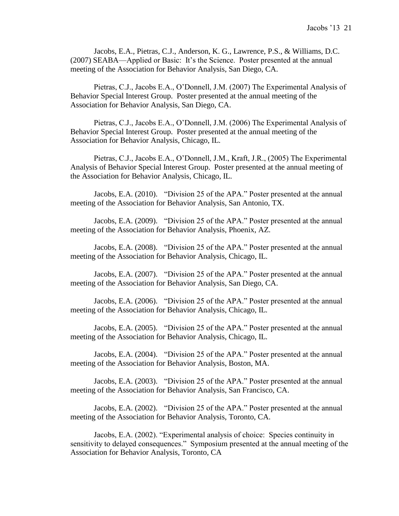Jacobs, E.A., Pietras, C.J., Anderson, K. G., Lawrence, P.S., & Williams, D.C. (2007) SEABA—Applied or Basic: It's the Science. Poster presented at the annual meeting of the Association for Behavior Analysis, San Diego, CA.

Pietras, C.J., Jacobs E.A., O'Donnell, J.M. (2007) The Experimental Analysis of Behavior Special Interest Group. Poster presented at the annual meeting of the Association for Behavior Analysis, San Diego, CA.

Pietras, C.J., Jacobs E.A., O'Donnell, J.M. (2006) The Experimental Analysis of Behavior Special Interest Group. Poster presented at the annual meeting of the Association for Behavior Analysis, Chicago, IL.

Pietras, C.J., Jacobs E.A., O'Donnell, J.M., Kraft, J.R., (2005) The Experimental Analysis of Behavior Special Interest Group. Poster presented at the annual meeting of the Association for Behavior Analysis, Chicago, IL.

Jacobs, E.A. (2010). "Division 25 of the APA." Poster presented at the annual meeting of the Association for Behavior Analysis, San Antonio, TX.

Jacobs, E.A. (2009). "Division 25 of the APA." Poster presented at the annual meeting of the Association for Behavior Analysis, Phoenix, AZ.

Jacobs, E.A. (2008). "Division 25 of the APA." Poster presented at the annual meeting of the Association for Behavior Analysis, Chicago, IL.

Jacobs, E.A. (2007). "Division 25 of the APA." Poster presented at the annual meeting of the Association for Behavior Analysis, San Diego, CA.

Jacobs, E.A. (2006). "Division 25 of the APA." Poster presented at the annual meeting of the Association for Behavior Analysis, Chicago, IL.

Jacobs, E.A. (2005). "Division 25 of the APA." Poster presented at the annual meeting of the Association for Behavior Analysis, Chicago, IL.

Jacobs, E.A. (2004). "Division 25 of the APA." Poster presented at the annual meeting of the Association for Behavior Analysis, Boston, MA.

Jacobs, E.A. (2003). "Division 25 of the APA." Poster presented at the annual meeting of the Association for Behavior Analysis, San Francisco, CA.

Jacobs, E.A. (2002). "Division 25 of the APA." Poster presented at the annual meeting of the Association for Behavior Analysis, Toronto, CA.

Jacobs, E.A. (2002). "Experimental analysis of choice: Species continuity in sensitivity to delayed consequences." Symposium presented at the annual meeting of the Association for Behavior Analysis, Toronto, CA